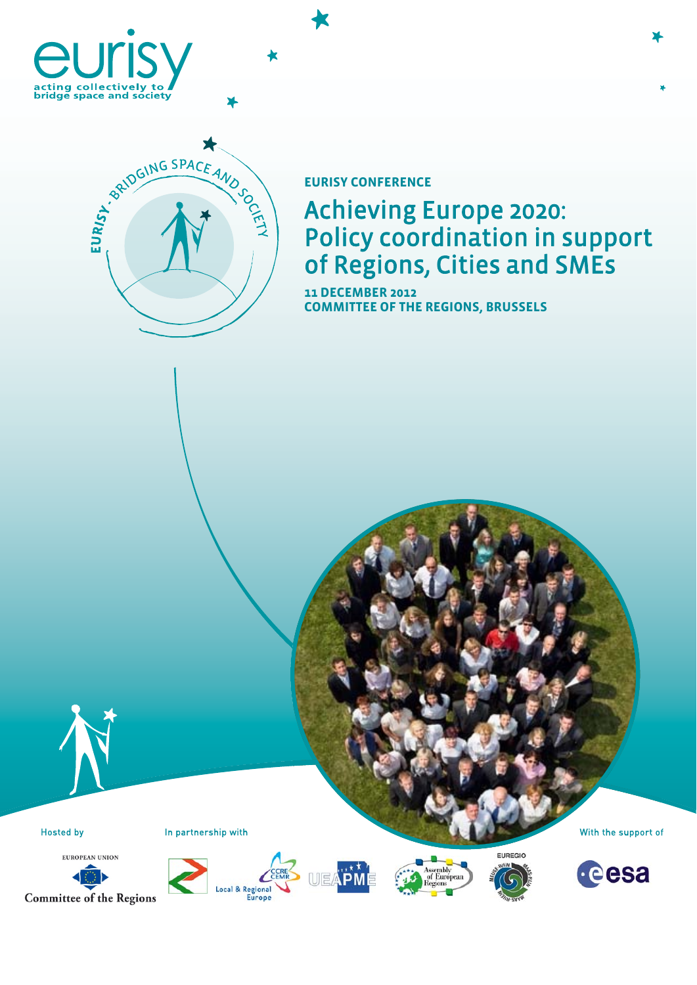





### **EURISY CONFERENCE**

# Achieving Europe 2020: Policy coordination in support of Regions, Cities and SMEs

**11 DECEMBER 2012 COMMITTEE OF THE REGIONS, BRUSSELS** 





Hosted by In partnership with With the support of









**FUREGIO** 

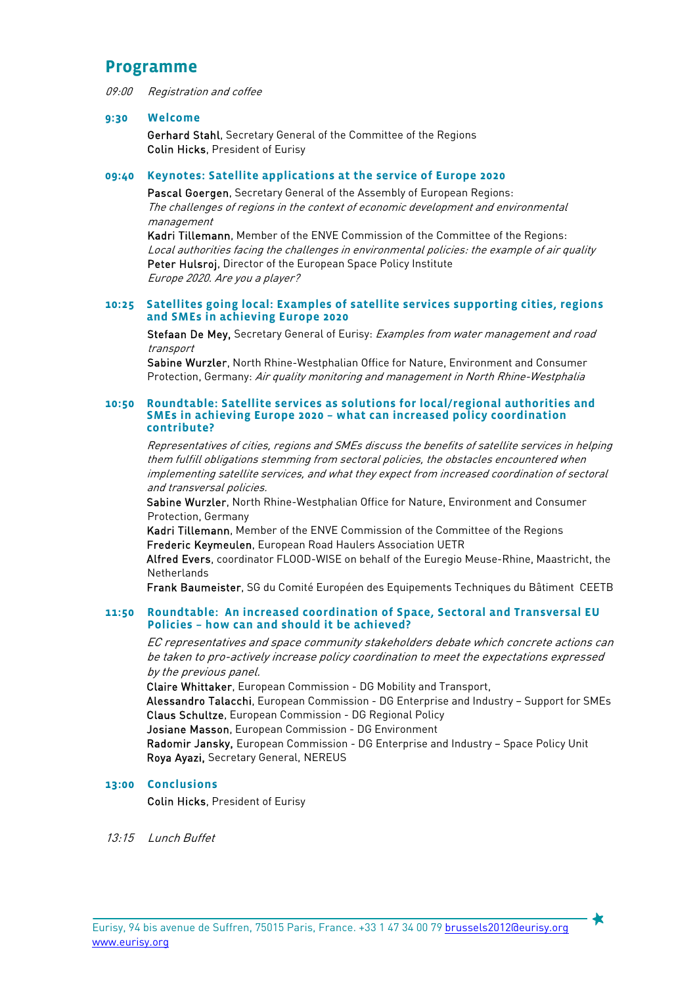### **Programme**

09:00 Registration and coffee

#### **9:30 Welcome**

Gerhard Stahl, Secretary General of the Committee of the Regions Colin Hicks, President of Eurisy

#### **09:40 Keynotes: Satellite applications at the service of Europe 2020**

Pascal Goergen, Secretary General of the Assembly of European Regions: The challenges of regions in the context of economic development and environmental management

Kadri Tillemann, Member of the ENVE Commission of the Committee of the Regions: Local authorities facing the challenges in environmental policies: the example of air quality Peter Hulsroj, Director of the European Space Policy Institute Europe 2020. Are you a player?

#### **10:25 Satellites going local: Examples of satellite services supporting cities, regions and SMEs in achieving Europe 2020**

Stefaan De Mey, Secretary General of Eurisy: Examples from water management and road transport

Sabine Wurzler, North Rhine-Westphalian Office for Nature, Environment and Consumer Protection, Germany: Air quality monitoring and management in North Rhine-Westphalia

#### **10:50 Roundtable: Satellite services as solutions for local/regional authorities and SMEs in achieving Europe 2020 – what can increased policy coordination contribute?**

Representatives of cities, regions and SMEs discuss the benefits of satellite services in helping them fulfill obligations stemming from sectoral policies, the obstacles encountered when implementing satellite services, and what they expect from increased coordination of sectoral and transversal policies.

Sabine Wurzler, North Rhine-Westphalian Office for Nature, Environment and Consumer Protection, Germany

Kadri Tillemann, Member of the ENVE Commission of the Committee of the Regions Frederic Keymeulen, European Road Haulers Association UETR

Alfred Evers, coordinator FLOOD-WISE on behalf of the Euregio Meuse-Rhine, Maastricht, the **Netherlands** 

Frank Baumeister, SG du Comité Européen des Equipements Techniques du Bâtiment CEETB

#### **11:50 Roundtable: An increased coordination of Space, Sectoral and Transversal EU Policies – how can and should it be achieved?**

EC representatives and space community stakeholders debate which concrete actions can be taken to pro-actively increase policy coordination to meet the expectations expressed by the previous panel.

Claire Whittaker, European Commission - DG Mobility and Transport, Alessandro Talacchi, European Commission - DG Enterprise and Industry – Support for SMEs Claus Schultze, European Commission - DG Regional Policy Josiane Masson, European Commission - DG Environment Radomir Jansky, European Commission - DG Enterprise and Industry – Space Policy Unit Roya Ayazi, Secretary General, NEREUS

#### **13:00 Conclusions**

Colin Hicks, President of Eurisy

13:15 Lunch Buffet